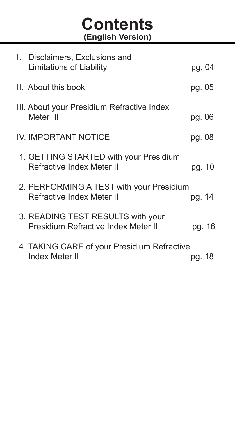# **Contents (English Version)**

| I. Disclaimers, Exclusions and<br>Limitations of Liability               | pg. 04 |        |
|--------------------------------------------------------------------------|--------|--------|
| II. About this book                                                      | pg. 05 |        |
| III. About your Presidium Refractive Index<br>Meter II                   | pg. 06 |        |
| IV. IMPORTANT NOTICE                                                     | pg. 08 |        |
| 1. GETTING STARTED with your Presidium<br>Refractive Index Meter II      | pg. 10 |        |
| 2. PERFORMING A TEST with your Presidium<br>Refractive Index Meter II    | pg. 14 |        |
| 3. READING TEST RESULTS with your<br>Presidium Refractive Index Meter II |        | pg. 16 |
| 4. TAKING CARE of your Presidium Refractive<br>Index Meter II            | pg. 18 |        |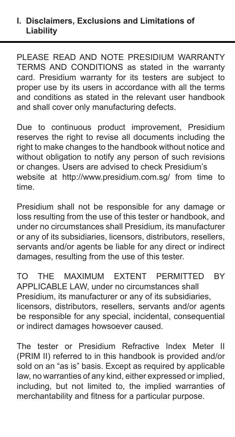### **I. Disclaimers, Exclusions and Limitations of Liability**

PLEASE READ AND NOTE PRESIDIUM WARRANTY TERMS AND CONDITIONS as stated in the warranty card. Presidium warranty for its testers are subject to proper use by its users in accordance with all the terms and conditions as stated in the relevant user handbook and shall cover only manufacturing defects.

Due to continuous product improvement, Presidium reserves the right to revise all documents including the right to make changes to the handbook without notice and without obligation to notify any person of such revisions or changes. Users are advised to check Presidium's website at http://www.presidium.com.sg/ from time to time.

Presidium shall not be responsible for any damage or loss resulting from the use of this tester or handbook, and under no circumstances shall Presidium, its manufacturer or any of its subsidiaries, licensors, distributors, resellers, servants and/or agents be liable for any direct or indirect damages, resulting from the use of this tester.

TO THE MAXIMUM EXTENT PERMITTED BY APPLICABLE LAW, under no circumstances shall Presidium, its manufacturer or any of its subsidiaries, licensors, distributors, resellers, servants and/or agents be responsible for any special, incidental, consequential or indirect damages howsoever caused.

The tester or Presidium Refractive Index Meter II (PRIM II) referred to in this handbook is provided and/or sold on an "as is" basis. Except as required by applicable law, no warranties of any kind, either expressed or implied, including, but not limited to, the implied warranties of merchantability and fitness for a particular purpose.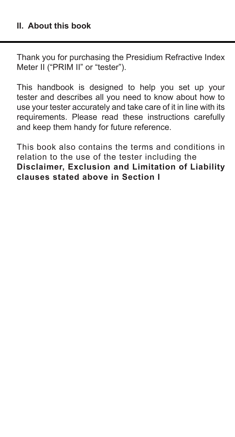### **II. About this book**

Thank you for purchasing the Presidium Refractive Index Meter II ("PRIM II" or "tester").

This handbook is designed to help you set up your tester and describes all you need to know about how to use your tester accurately and take care of it in line with its requirements. Please read these instructions carefully and keep them handy for future reference.

This book also contains the terms and conditions in relation to the use of the tester including the **Disclaimer, Exclusion and Limitation of Liability clauses stated above in Section I**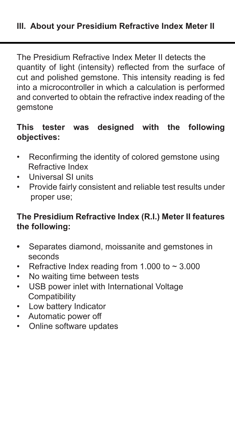The Presidium Refractive Index Meter II detects the quantity of light (intensity) reflected from the surface of cut and polished gemstone. This intensity reading is fed into a microcontroller in which a calculation is performed and converted to obtain the refractive index reading of the gemstone

# **This tester was designed with the following objectives:**

- Reconfirming the identity of colored gemstone using Refractive Index
- Universal SI units
- Provide fairly consistent and reliable test results under proper use;

### **The Presidium Refractive Index (R.I.) Meter II features the following:**

- Separates diamond, moissanite and gemstones in seconds
- Refractive Index reading from 1.000 to  $\sim$  3.000
- No waiting time between tests
- USB power inlet with International Voltage **Compatibility**
- Low battery Indicator
- Automatic power off
- Online software updates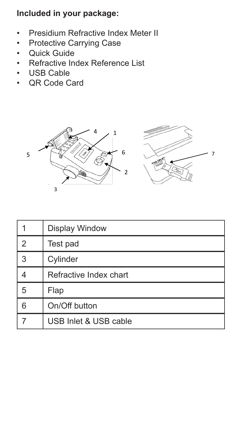**Included in your package:** 

- Presidium Refractive Index Meter II
- Protective Carrying Case
- Quick Guide
- Refractive Index Reference List<br>• IISB Cable
- USB Cable
- QR Code Card



|   | <b>Display Window</b>  |
|---|------------------------|
| 2 | Test pad               |
| 3 | Cylinder               |
|   | Refractive Index chart |
| 5 | Flap                   |
| 6 | On/Off button          |
|   | USB Inlet & USB cable  |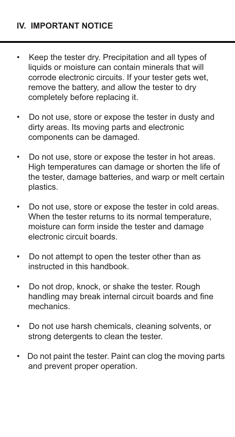- Keep the tester dry. Precipitation and all types of liquids or moisture can contain minerals that will corrode electronic circuits. If your tester gets wet. remove the battery, and allow the tester to dry completely before replacing it.
- Do not use, store or expose the tester in dusty and dirty areas. Its moving parts and electronic components can be damaged.
- Do not use, store or expose the tester in hot areas. High temperatures can damage or shorten the life of the tester, damage batteries, and warp or melt certain plastics.
- Do not use, store or expose the tester in cold areas. When the tester returns to its normal temperature. moisture can form inside the tester and damage electronic circuit boards.
- Do not attempt to open the tester other than as instructed in this handbook.
- Do not drop, knock, or shake the tester. Rough handling may break internal circuit boards and fine mechanics.
- Do not use harsh chemicals, cleaning solvents, or strong detergents to clean the tester.
- Do not paint the tester. Paint can clog the moving parts and prevent proper operation.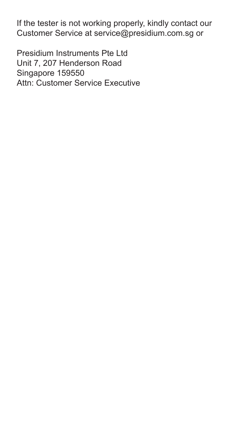If the tester is not working properly, kindly contact our Customer Service at service@presidium.com.sg or

Presidium Instruments Pte Ltd Unit 7, 207 Henderson Road Singapore 159550 Attn: Customer Service Executive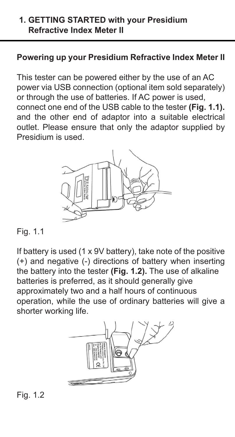### **1. GETTING STARTED with your Presidium Refractive Index Meter II**

### **Powering up your Presidium Refractive Index Meter II**

This tester can be powered either by the use of an AC power via USB connection (optional item sold separately) or through the use of batteries. If AC power is used, connect one end of the USB cable to the tester **(Fig. 1.1).** and the other end of adaptor into a suitable electrical outlet. Please ensure that only the adaptor supplied by Presidium is used.



Fig. 1.1

If battery is used (1 x 9V battery), take note of the positive (+) and negative (-) directions of battery when inserting the battery into the tester **(Fig. 1.2).** The use of alkaline batteries is preferred, as it should generally give approximately two and a half hours of continuous operation, while the use of ordinary batteries will give a shorter working life.



Fig. 1.2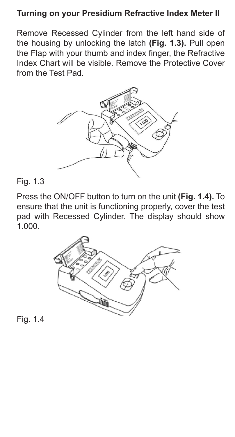### **Turning on your Presidium Refractive Index Meter II**

Remove Recessed Cylinder from the left hand side of the housing by unlocking the latch **(Fig. 1.3).** Pull open the Flap with your thumb and index finger, the Refractive Index Chart will be visible. Remove the Protective Cover from the Test Pad.



Fig. 1.3

Press the ON/OFF button to turn on the unit **(Fig. 1.4).** To ensure that the unit is functioning properly, cover the test pad with Recessed Cylinder. The display should show  $1.000$ 



Fig. 1.4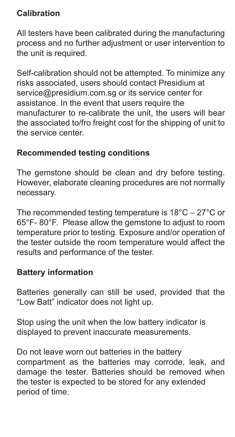# **Calibration**

All testers have been calibrated during the manufacturing process and no further adjustment or user intervention to .<br>the unit is required.

Self-calibration should not be attempted. To minimize any risks associated, users should contact Presidium at service@presidium.com.sg or its service center for assistance. In the event that users require the manufacturer to re-calibrate the unit, the users will bear the associated to/fro freight cost for the shipping of unit to the service center.

# **Recommended testing conditions**

The gemstone should be clean and dry before testing. However, elaborate cleaning procedures are not normally necessary.

The recommended testing temperature is 18°C – 27°C or 65°F- 80°F. Please allow the gemstone to adjust to room temperature prior to testing. Exposure and/or operation of the tester outside the room temperature would affect the results and performance of the tester.

# **Battery information**

Batteries generally can still be used, provided that the "Low Batt" indicator does not light up.

Stop using the unit when the low battery indicator is displayed to prevent inaccurate measurements.

Do not leave worn out batteries in the battery compartment as the batteries may corrode, leak, and damage the tester. Batteries should be removed when the tester is expected to be stored for any extended period of time.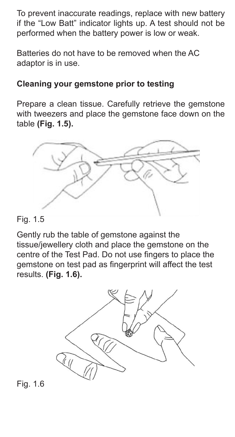To prevent inaccurate readings, replace with new battery if the "Low Batt" indicator lights up. A test should not be performed when the battery power is low or weak.

Batteries do not have to be removed when the AC adaptor is in use.

# **Cleaning your gemstone prior to testing**

Prepare a clean tissue. Carefully retrieve the gemstone with tweezers and place the gemstone face down on the table **(Fig. 1.5).**



### Fig. 1.5

Gently rub the table of gemstone against the tissue/jewellery cloth and place the gemstone on the centre of the Test Pad. Do not use fingers to place the gemstone on test pad as fingerprint will affect the test results. **(Fig. 1.6).**



Fig. 1.6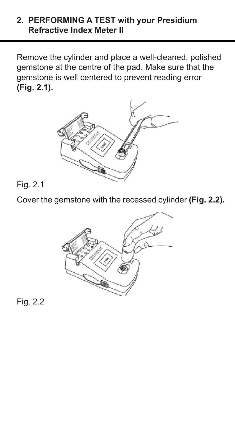### **2. PERFORMING A TEST with your Presidium Refractive Index Meter II**

Remove the cylinder and place a well-cleaned, polished gemstone at the centre of the pad. Make sure that the gemstone is well centered to prevent reading error **(Fig. 2.1).**



# Fig. 2.1

Cover the gemstone with the recessed cylinder **(Fig. 2.2).** 



Fig. 2.2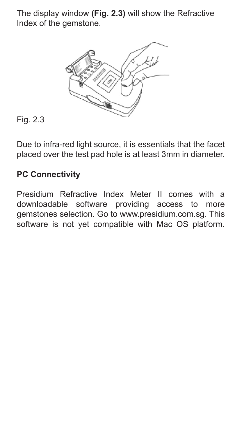The display window **(Fig. 2.3)** will show the Refractive Index of the gemstone.



# Fig. 2.3

Due to infra-red light source, it is essentials that the facet placed over the test pad hole is at least 3mm in diameter.

# **PC Connectivity**

Presidium Refractive Index Meter II comes with a downloadable software providing access to more gemstones selection. Go to www.presidium.com.sg. This software is not yet compatible with Mac OS platform.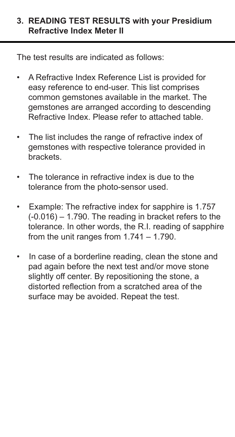### **3. READING TEST RESULTS with your Presidium Refractive Index Meter II**

The test results are indicated as follows:

- A Refractive Index Reference List is provided for easy reference to end-user. This list comprises common gemstones available in the market. The gemstones are arranged according to descending Refractive Index. Please refer to attached table.
- The list includes the range of refractive index of gemstones with respective tolerance provided in brackets.
- The tolerance in refractive index is due to the tolerance from the photo-sensor used.
- Example: The refractive index for sapphire is 1.757 (-0.016) – 1.790. The reading in bracket refers to the tolerance. In other words, the R.I. reading of sapphire from the unit ranges from 1.741 – 1.790.
- In case of a borderline reading, clean the stone and pad again before the next test and/or move stone slightly off center. By repositioning the stone, a distorted reflection from a scratched area of the surface may be avoided. Repeat the test.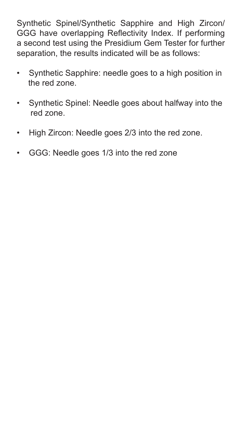Synthetic Spinel/Synthetic Sapphire and High Zircon/ GGG have overlapping Reflectivity Index. If performing a second test using the Presidium Gem Tester for further separation, the results indicated will be as follows:

- Synthetic Sapphire: needle goes to a high position in the red zone.
- Synthetic Spinel: Needle goes about halfway into the red zone.
- High Zircon: Needle goes 2/3 into the red zone.
- GGG: Needle goes 1/3 into the red zone